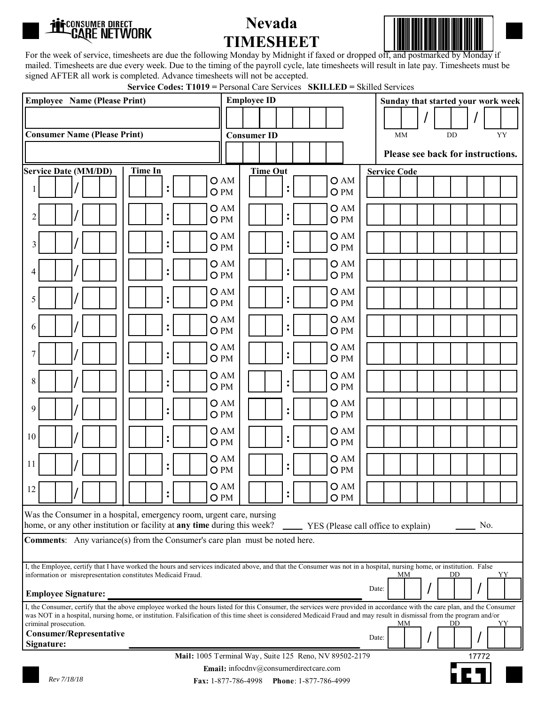

## **Nevada TIMESHEET**



For the week of service, timesheets are due the following Monday by Midnight if faxed or dropped off, and postmarked by Monday if mailed. Timesheets are due every week. Due to the timing of the payroll cycle, late timesheets will result in late pay. Timesheets must be signed AFTER all work is completed. Advance timesheets will not be accepted.

| <b>Service Codes: T1019</b> = Personal Care Services <b>SKILLED</b> = Skilled Services |  |  |  |
|----------------------------------------------------------------------------------------|--|--|--|
|----------------------------------------------------------------------------------------|--|--|--|

| <b>Employee Name (Please Print)</b>                                                                                                                                                                                                                                                                                                                 |                        |                        | <b>Employee ID</b> |                 |                |  |                        |     |                     |  |  | Sunday that started your work week |
|-----------------------------------------------------------------------------------------------------------------------------------------------------------------------------------------------------------------------------------------------------------------------------------------------------------------------------------------------------|------------------------|------------------------|--------------------|-----------------|----------------|--|------------------------|-----|---------------------|--|--|------------------------------------|
|                                                                                                                                                                                                                                                                                                                                                     |                        |                        |                    |                 |                |  |                        |     |                     |  |  |                                    |
| <b>Consumer Name (Please Print)</b><br><b>Consumer ID</b><br><b>MM</b><br>DD                                                                                                                                                                                                                                                                        |                        |                        |                    |                 |                |  | YY                     |     |                     |  |  |                                    |
|                                                                                                                                                                                                                                                                                                                                                     |                        |                        |                    |                 |                |  |                        |     |                     |  |  | Please see back for instructions.  |
| Service Date (MM/DD)                                                                                                                                                                                                                                                                                                                                | <b>Time In</b>         |                        |                    | <b>Time Out</b> |                |  |                        |     | <b>Service Code</b> |  |  |                                    |
|                                                                                                                                                                                                                                                                                                                                                     | $\ddot{\cdot}$<br>O PM | OAM                    |                    |                 | $\ddot{\cdot}$ |  | O PM                   | OAM |                     |  |  |                                    |
| 2                                                                                                                                                                                                                                                                                                                                                   | ፡<br>O PM              | OAM                    |                    |                 | $\ddot{\cdot}$ |  | O AM<br>O PM           |     |                     |  |  |                                    |
| 3                                                                                                                                                                                                                                                                                                                                                   | $\ddot{\cdot}$         | OAM<br>O <sub>PM</sub> |                    |                 | :              |  | OAM<br>O <sub>PM</sub> |     |                     |  |  |                                    |
| 4                                                                                                                                                                                                                                                                                                                                                   | $\ddot{\cdot}$         | OAM<br>O <sub>PM</sub> |                    |                 |                |  | OAM<br>O <sub>PM</sub> |     |                     |  |  |                                    |
| 5                                                                                                                                                                                                                                                                                                                                                   | $\ddot{\cdot}$         | OAM                    |                    |                 | $\ddot{\cdot}$ |  | OAM                    |     |                     |  |  |                                    |
|                                                                                                                                                                                                                                                                                                                                                     | O <sub>PM</sub>        |                        |                    |                 |                |  | O PM                   |     |                     |  |  |                                    |
| 6                                                                                                                                                                                                                                                                                                                                                   | $\ddot{\cdot}$<br>O PM | OAM                    |                    |                 | :              |  | OAM<br>O PM            |     |                     |  |  |                                    |
| 7                                                                                                                                                                                                                                                                                                                                                   | ፡<br>O PM              | OAM                    |                    |                 | $\ddot{\cdot}$ |  | OAM<br>O <sub>PM</sub> |     |                     |  |  |                                    |
| 8                                                                                                                                                                                                                                                                                                                                                   | $\ddot{\cdot}$         | OAM<br>O <sub>PM</sub> |                    |                 |                |  | OAM<br>O PM            |     |                     |  |  |                                    |
| 9                                                                                                                                                                                                                                                                                                                                                   | $\ddot{\cdot}$<br>O PM | OAM                    |                    |                 | $\ddot{\cdot}$ |  | OAM<br>O <sub>PM</sub> |     |                     |  |  |                                    |
| 10                                                                                                                                                                                                                                                                                                                                                  | $\ddot{\cdot}$<br>O PM | OAM                    |                    |                 | $\ddot{\cdot}$ |  | OAM<br>O PM            |     |                     |  |  |                                    |
| 11                                                                                                                                                                                                                                                                                                                                                  | $\ddot{\cdot}$         | OAM                    |                    |                 | $\ddot{\cdot}$ |  | OAM                    |     |                     |  |  |                                    |
| 12<br>$\prime$                                                                                                                                                                                                                                                                                                                                      | O PM                   | OAM                    |                    |                 |                |  | O PM                   | OAM |                     |  |  |                                    |
|                                                                                                                                                                                                                                                                                                                                                     | $\bullet$              | O <sub>PM</sub>        |                    |                 | $\bullet$      |  | O PM                   |     |                     |  |  |                                    |
| Was the Consumer in a hospital, emergency room, urgent care, nursing<br>home, or any other institution or facility at any time during this week?<br>YES (Please call office to explain)<br>No.                                                                                                                                                      |                        |                        |                    |                 |                |  |                        |     |                     |  |  |                                    |
| <b>Comments:</b> Any variance(s) from the Consumer's care plan must be noted here.                                                                                                                                                                                                                                                                  |                        |                        |                    |                 |                |  |                        |     |                     |  |  |                                    |
| I, the Employee, certify that I have worked the hours and services indicated above, and that the Consumer was not in a hospital, nursing home, or institution. False                                                                                                                                                                                |                        |                        |                    |                 |                |  |                        |     |                     |  |  |                                    |
| information or misrepresentation constitutes Medicaid Fraud.<br>DD<br>MМ<br>YY<br>Date:<br><b>Employee Signature:</b>                                                                                                                                                                                                                               |                        |                        |                    |                 |                |  |                        |     |                     |  |  |                                    |
| I, the Consumer, certify that the above employee worked the hours listed for this Consumer, the services were provided in accordance with the care plan, and the Consumer<br>was NOT in a hospital, nursing home, or institution. Falsification of this time sheet is considered Medicaid Fraud and may result in dismissal from the program and/or |                        |                        |                    |                 |                |  |                        |     |                     |  |  |                                    |
| criminal prosecution.<br>YΥ<br>MМ<br>DD<br><b>Consumer/Representative</b><br>Date:                                                                                                                                                                                                                                                                  |                        |                        |                    |                 |                |  |                        |     |                     |  |  |                                    |
| Signature:<br>Mail: 1005 Terminal Way, Suite 125 Reno, NV 89502-2179<br>17772                                                                                                                                                                                                                                                                       |                        |                        |                    |                 |                |  |                        |     |                     |  |  |                                    |
| Email: infocdnv@consumerdirectcare.com                                                                                                                                                                                                                                                                                                              |                        |                        |                    |                 |                |  |                        |     |                     |  |  |                                    |
| Rev 7/18/18<br>Fax: 1-877-786-4998<br>Phone: 1-877-786-4999                                                                                                                                                                                                                                                                                         |                        |                        |                    |                 |                |  |                        |     |                     |  |  |                                    |